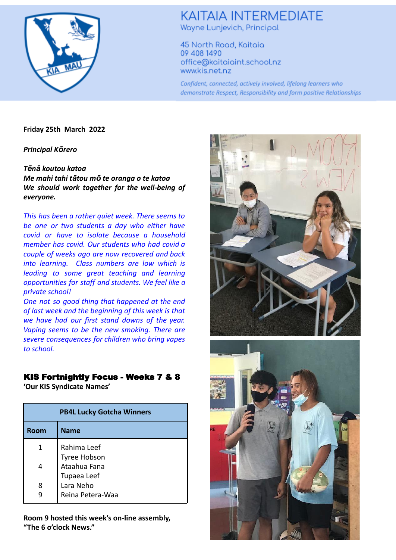

# **KAITAIA INTERMEDIATE** Wayne Lunjevich, Principal

45 North Road, Kaitaia 09 408 1490 office@kaitaiaint.school.nz www.kis.net.nz

Confident, connected, actively involved, lifelong learners who demonstrate Respect, Responsibility and form positive Relationships

**Friday 25th March 2022**

*Principal Kōrero*

## *Tēnā koutou katoa*

*Me mahi tahi tātou mō te oranga o te katoa We should work together for the well-being of everyone.*

*This has been a rather quiet week. There seems to be one or two students a day who either have covid or have to isolate because a household member has covid. Our students who had covid a couple of weeks ago are now recovered and back into learning. Class numbers are low which is leading to some great teaching and learning opportunities for staff and students. We feel like a private school!*

*One not so good thing that happened at the end of last week and the beginning of this week is that we have had our first stand downs of the year. Vaping seems to be the new smoking. There are severe consequences for children who bring vapes to school.*

## KIS Fortnightly Focus - Weeks 7 & 8

**'Our KIS Syndicate Names'**

| <b>PB4L Lucky Gotcha Winners</b> |                               |  |  |
|----------------------------------|-------------------------------|--|--|
| Room                             | <b>Name</b>                   |  |  |
| 1                                | Rahima Leef<br>Tyree Hobson   |  |  |
| 4                                | Ataahua Fana<br>Tupaea Leef   |  |  |
| 8                                | Lara Neho<br>Reina Petera-Waa |  |  |

**Room 9 hosted this week's on-line assembly, "The 6 o'clock News."**



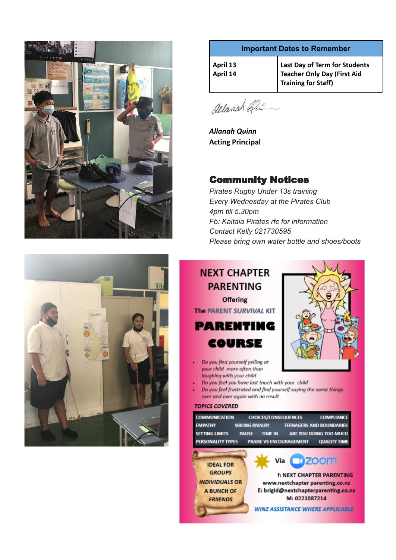



## **Important Dates to Remember**

| $\vert$ April 13<br>April 14 | Last Day of Term for Students<br>Teacher Only Day (First Aid<br>Training for Staff) |
|------------------------------|-------------------------------------------------------------------------------------|
|------------------------------|-------------------------------------------------------------------------------------|

allanah Que

*Allanah Quinn* **Acting Principal**

# Community Notices

*Pirates Rugby Under 13s training Every Wednesday at the Pirates Club 4pm till 5.30pm Fb: Kaitaia Pirates rfc for information Contact Kelly 021730595 Please bring own water bottle and shoes/boots*

# **NEXT CHAPTER PARENTING Offering** The PARENT SURVIVAL KIT **PARENTING COURSE**



- Do you find yourself yelling at ¥ your child more often than laughing with your child
- Do you feel you have lost touch with your child
- Do you feel frustrated and find yourself saying the same things over and over again with no result

#### **TOPICS COVERED**

| <b>COMMUNICATION</b><br><b>EMPATHY</b>     | <b>CHOICES/CONSEQUENCES</b><br><b>SIBLING RIVALRY</b>            | <b>COMPLIANCE</b><br><b>TEENAGERS AND BOUNDARIES</b> |
|--------------------------------------------|------------------------------------------------------------------|------------------------------------------------------|
| <b>SETTING LIMITS</b><br>PERSONALITY TYPES | <b>TIME IN</b><br><b>PAUSE</b><br><b>PRAISE VS ENCOURAGEMENT</b> | ARE YOU DOING TOO MUCH<br><b>QUALITY TIME</b>        |
|                                            |                                                                  | Via <b>CD</b> ZOOM                                   |
| <b>IDEAL FOR</b>                           |                                                                  |                                                      |
| <b>GROUPS</b>                              |                                                                  | <b>f: NEXT CHAPTER PARENTING</b>                     |
| <b>INDIVIDUALS OR</b>                      |                                                                  | www.nextchapter parenting.co.nz                      |
| <b>A BUNCH OF</b>                          |                                                                  | E: brigid@nextchapterparenting.co.n                  |
|                                            |                                                                  | M: 0221087214                                        |
| <b>FRIIENDS</b>                            |                                                                  |                                                      |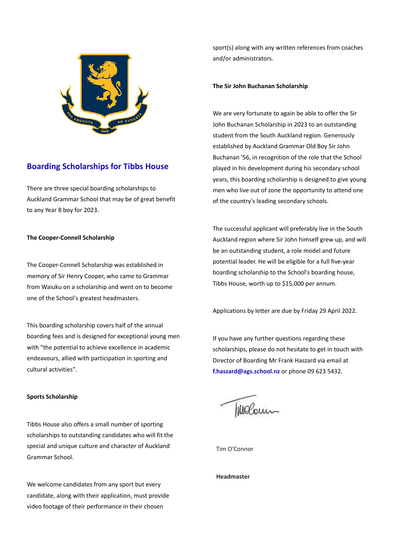

## **Boarding Scholarships for Tibbs House**

There are three special boarding scholarships to Auckland Grammar School that may be of great benefit to any Year 8 boy for 2023.

### **The Cooper-Connell Scholarship**

The Cooper-Connell Scholarship was established in memory of Sir Henry Cooper, who came to Grammar from Waiuku on a scholarship and went on to become one of the School's greatest headmasters.

This boarding scholarship covers half of the annual boarding fees and is designed for exceptional young men with "the potential to achieve excellence in academic endeavours, allied with participation in sporting and cultural activities".

#### **Sports Scholarship**

Tibbs House also offers a small number of sporting scholarships to outstanding candidates who will fit the special and unique culture and character of Auckland Grammar School.

We welcome candidates from any sport but every candidate, along with their application, must provide video footage of their performance in their chosen

sport(s) along with any written references from coaches and/or administrators.

#### **The Sir John Buchanan Scholarship**

We are very fortunate to again be able to offer the Sir John Buchanan Scholarship in 2023 to an outstanding student from the South Auckland region. Generously established by Auckland Grammar Old Boy Sir John Buchanan '56, in recognition of the role that the School played in his development during his secondary school years, this boarding scholarship is designed to give young men who live out of zone the opportunity to attend one of the country's leading secondary schools.

The successful applicant will preferably live in the South Auckland region where Sir John himself grew up, and will be an outstanding student, a role model and future potential leader. He will be eligible for a full five-year boarding scholarship to the School's boarding house, Tibbs House, worth up to \$15,000 per annum.

Applications by letter are due by Friday 29 April 2022.

If you have any further questions regarding these scholarships, please do not hesitate to get in touch with Director of Boarding Mr Frank Haszard via email at **f.haszard@ags.school.nz** or phone 09 623 5432.

Wolcum

Tim O'Connor

**Headmaster**